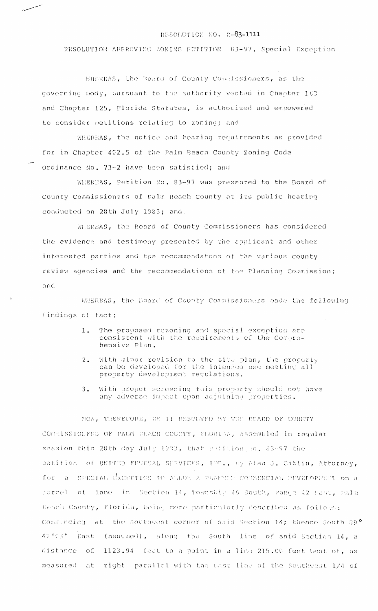## RESOLUTION NO. R-83-1111

RESOLUTION APPROVING ZONING PETITION 83-97, Special Exception

WHEREAS, the Board of County Commissioners, as the governing body, pursuant to the authority vested in Chapter 163 and Chapter 125, Florida Statutes, is authorized and empowered to consider petitions relating to zoning; and

WHEREAS, the notice and hearing requirements as provided for in Chapter 402.5 of the Palm Beach County Zoning Code Ordinance No. 73-2 have been satisfied; and

WHEREAS, Petition No. 83-97 was presented to the Board of County Commissioners of Palm Beach County at its public hearing conducted on 28th July 1983; and.

WHEREAS, the Board of County Commissioners has considered the evidence and testimony presented by the applicant and other interested parties and the recommendatons of the various county review agencies and the recommendations of the Planning Commission; and

WHEREAS, the Board of County Commissioners made the following findings of fact:

- The proposed rezoning and special exception are  $1.$ consistent with the requirements of the Comprahensive Plan.
- With minor revision to the site plan, the property  $2.$ can be developed for the intended use meeting all<br>property development regulations.
- With proper screening this property should not have  $3.$ any adverse impact upon adjoining properties.

NOW, THEREFORE, BE IT RESOLVED BY THE BOARD OF COUNTY CONSISSIONERS OF PAUM PEACH COUNTY, FLORIDA, assembled in reqular session this 28th day July 1983, that Patition Ro. 83-97 the petition of UNITED FUNERAL SERVICES, INC., Uy Alan J. Ciklin, Attorney, for a SPECIAL EXCEPTION TO ALLON A PLANNIL CONNERCIAL PPVELOPENT on a parcel of land in Section 14, Township 46 South, Pange 42 Past, Palm Beach County, Florida, being more particularly described as follows: Commencing at the Southwest corner of said Saction 14; thence South 39° 42'(3" East (assumed), along the South line of said Section 14, a 1123.94 feet to a point in a line 215.00 feet west of, as distance  $\Omega$ right parallel with the Bast line of the Southwest 1/4 of measured at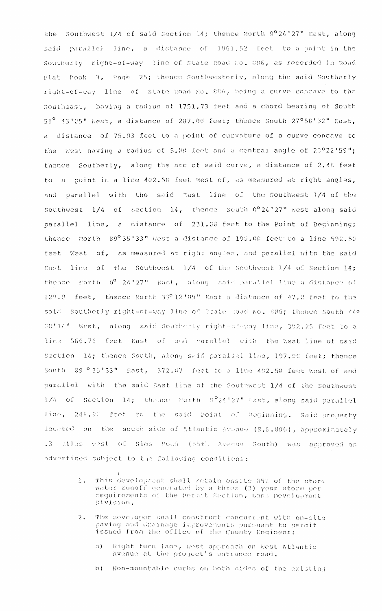the Southwest 1/4 of said Section 14; thence North 0°24'27" East, along said parallel line, a distance of 1061.52 feet to a point in the Southerly right-of-way line of State Road No. 806, as recorded in Road Plat Book 3, Page 25; thence Southwesterly, along the said Southerly right-of-way line of State Road No. 806, being a curve concave to the Southeast, having a radius of 1751.73 feet and a chord bearing of South  $51^{\circ}$  43'95" west, a distance of 287.60 feet; thence South 27°58'32" East, a distance of 75.03 feet to a point of curvature of a curve concave to the West having a radius of 5.00 feet and a central angle of 28°22'59"; thence Southerly, along the arc of said curve, a distance of 2.48 feet to a point in a line 402.50 feet West of, as measured at right angles, and parallel with the said East line of the Southwest 1/4 of the Southwest 1/4 of Section 14, thence South 0°24'27" West along said parallel line, a distance of 231.00 feet to the Point of Beginning; thence Worth 89°35'33" West a distance of 199.00 feet to a line 592.50 feet West of, as measured at right angles, and parallel with the said East line of the Southwest 1/4 of the Southwest 1/4 of Section 14; thence North 0° 24'27" Rast, along said parallel line a distance of 129.0 feet, thence North 33º12'09" East a distance of 47.0 feet to the said Southerly right-of-way line of State Road No. 806; thence South 44º 08'14" West, along said Southerly right-of-way line, 392.25 feet to a line 566.76 feat East of and parallel with the kest line of said Section 14; thence South, along said parallel line, 197.00 feet; thence South 89 ° 35'33" East, 372.07 feet to a line 402.50 feet West of and parallel with the said Bast line of the Southwest 1/4 of the Southwest  $1/4$  of Section 14; thence Morth  $5^{\circ}24^{\circ}27^{\prime\prime}$  East, along said parallel line, 246.90 feet to the said Point of Deginning. Said property located on the south side of Atlantic Avanue (S.R.806), approximately .3 ailes west of Sims Poad (S5th Avenue South) was approved as advertised subject to the following conditions:

- This development shall retain onsite 85% of the storm.<br>water runoff generated by a three (3) year storm per  $1.$ requirements of the Permit Section, Land Development Division.
- The developer shall construct concurrent with on-site paving and drainage improvements pursuant to permit  $2.1$ issued from the office of the County Engineer:
	- Right turn lane, west approach on West Atlantic.  $\mathfrak{a}$ ). Avenue at the project's entrance road.
	- $b)$ Non-mountable curbs on both sides of the existing